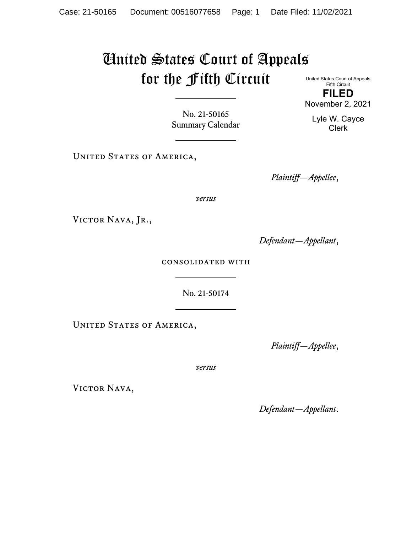## United States Court of Appeals for the Fifth Circuit

No. 21-50165 Summary Calendar

UNITED STATES OF AMERICA,

United States Court of Appeals Fifth Circuit **FILED**

November 2, 2021

Lyle W. Cayce Clerk

*Plaintiff—Appellee*,

*versus*

VICTOR NAVA, JR.,

*Defendant—Appellant*,

consolidated with

No. 21-50174

UNITED STATES OF AMERICA,

*Plaintiff—Appellee*,

*versus*

VICTOR NAVA,

*Defendant—Appellant*.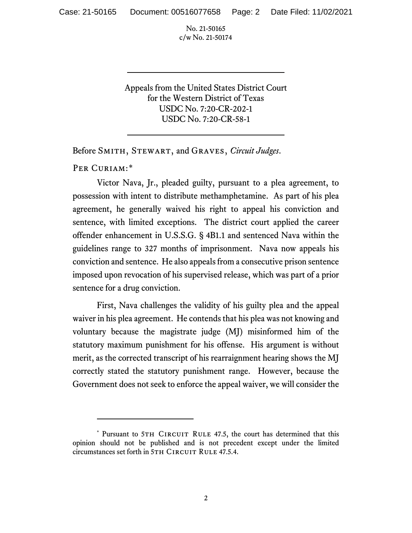Appeals from the United States District Court for the Western District of Texas USDC No. 7:20-CR-202-1 USDC No. 7:20-CR-58-1

Before Smith, Stewart, and Graves, *Circuit Judges*.

PER CURIAM:[\\*](#page-1-0)

Victor Nava, Jr., pleaded guilty, pursuant to a plea agreement, to possession with intent to distribute methamphetamine. As part of his plea agreement, he generally waived his right to appeal his conviction and sentence, with limited exceptions. The district court applied the career offender enhancement in U.S.S.G. § 4B1.1 and sentenced Nava within the guidelines range to 327 months of imprisonment. Nava now appeals his conviction and sentence. He also appeals from a consecutive prison sentence imposed upon revocation of his supervised release, which was part of a prior sentence for a drug conviction.

First, Nava challenges the validity of his guilty plea and the appeal waiver in his plea agreement. He contends that his plea was not knowing and voluntary because the magistrate judge (MJ) misinformed him of the statutory maximum punishment for his offense. His argument is without merit, as the corrected transcript of his rearraignment hearing shows the MJ correctly stated the statutory punishment range. However, because the Government does not seek to enforce the appeal waiver, we will consider the

<span id="page-1-0"></span><sup>\*</sup> Pursuant to 5TH CIRCUIT RULE 47.5, the court has determined that this opinion should not be published and is not precedent except under the limited circumstances set forth in 5TH CIRCUIT RULE 47.5.4.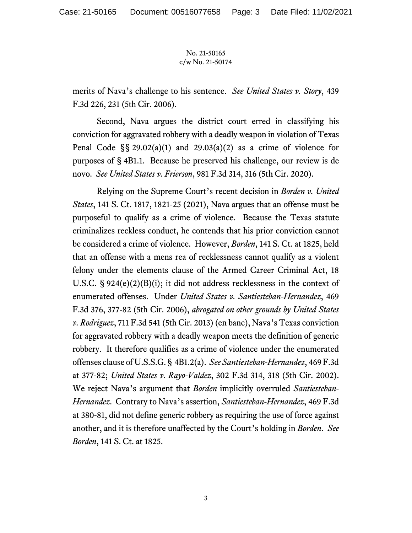merits of Nava's challenge to his sentence. *See United States v. Story*, 439 F.3d 226, 231 (5th Cir. 2006).

Second, Nava argues the district court erred in classifying his conviction for aggravated robbery with a deadly weapon in violation of Texas Penal Code  $\S$ § 29.02(a)(1) and 29.03(a)(2) as a crime of violence for purposes of § 4B1.1. Because he preserved his challenge, our review is de novo. *See United States v. Frierson*, 981 F.3d 314, 316 (5th Cir. 2020).

Relying on the Supreme Court's recent decision in *Borden v. United States*, 141 S. Ct. 1817, 1821-25 (2021), Nava argues that an offense must be purposeful to qualify as a crime of violence. Because the Texas statute criminalizes reckless conduct, he contends that his prior conviction cannot be considered a crime of violence. However, *Borden*, 141 S. Ct. at 1825, held that an offense with a mens rea of recklessness cannot qualify as a violent felony under the elements clause of the Armed Career Criminal Act, 18 U.S.C. § 924(e)(2)(B)(i); it did not address recklessness in the context of enumerated offenses. Under *United States v. Santiesteban-Hernandez*, 469 F.3d 376, 377-82 (5th Cir. 2006), *abrogated on other grounds by United States v. Rodriguez*, 711 F.3d 541 (5th Cir. 2013) (en banc), Nava's Texas conviction for aggravated robbery with a deadly weapon meets the definition of generic robbery. It therefore qualifies as a crime of violence under the enumerated offenses clause of U.S.S.G. § 4B1.2(a). *See Santiesteban-Hernandez*, 469 F.3d at 377-82; *United States v. Rayo-Valdez*, 302 F.3d 314, 318 (5th Cir. 2002). We reject Nava's argument that *Borden* implicitly overruled *Santiesteban-Hernandez*. Contrary to Nava's assertion, *Santiesteban-Hernandez*, 469 F.3d at 380-81, did not define generic robbery as requiring the use of force against another, and it is therefore unaffected by the Court's holding in *Borden*. *See Borden*, 141 S. Ct. at 1825.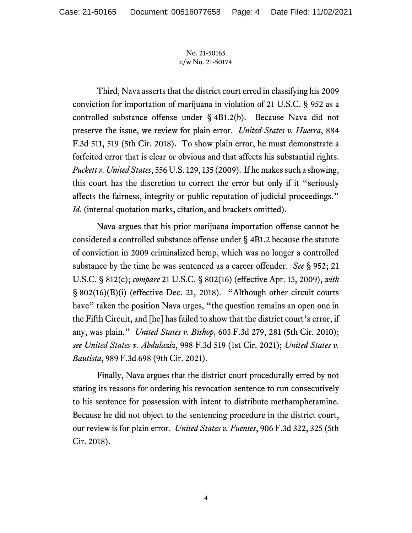Third, Nava asserts that the district court erred in classifying his 2009 conviction for importation of marijuana in violation of 21 U.S.C. § 952 as a controlled substance offense under § 4B1.2(b). Because Nava did not preserve the issue, we review for plain error. *United States v. Huerra*, 884 F.3d 511, 519 (5th Cir. 2018). To show plain error, he must demonstrate a forfeited error that is clear or obvious and that affects his substantial rights. *Puckett v. United States*, 556 U.S. 129, 135 (2009). If he makes such a showing, this court has the discretion to correct the error but only if it "seriously affects the fairness, integrity or public reputation of judicial proceedings." *Id*. (internal quotation marks, citation, and brackets omitted).

Nava argues that his prior marijuana importation offense cannot be considered a controlled substance offense under § 4B1.2 because the statute of conviction in 2009 criminalized hemp, which was no longer a controlled substance by the time he was sentenced as a career offender. *See* § 952; 21 U.S.C. § 812(c); *compare* 21 U.S.C. § 802(16) (effective Apr. 15, 2009), *with*  § 802(16)(B)(i) (effective Dec. 21, 2018). "Although other circuit courts have" taken the position Nava urges, "the question remains an open one in the Fifth Circuit, and [he] has failed to show that the district court's error, if any, was plain." *United States v. Bishop*, 603 F.3d 279, 281 (5th Cir. 2010); *see United States v. Abdulaziz*, 998 F.3d 519 (1st Cir. 2021); *United States v. Bautista*, 989 F.3d 698 (9th Cir. 2021).

Finally, Nava argues that the district court procedurally erred by not stating its reasons for ordering his revocation sentence to run consecutively to his sentence for possession with intent to distribute methamphetamine. Because he did not object to the sentencing procedure in the district court, our review is for plain error. *United States v. Fuentes*, 906 F.3d 322, 325 (5th Cir. 2018).